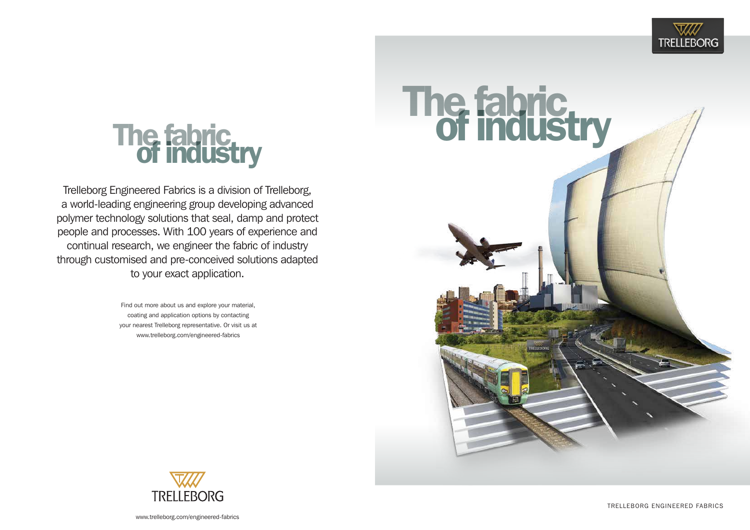# The fabric.<br>Of industry

Trelleborg Engineered Fabrics is a division of Trelleborg, a world-leading engineering group developing advanced polymer technology solutions that seal, damp and protect people and processes. With 100 years of experience and continual research, we engineer the fabric of industry through customised and pre-conceived solutions adapted to your exact application.

> Find out more about us and explore your material, coating and application options by contacting your nearest Trelleborg representative. Or visit us at www.trelleborg.com/engineered-fabrics





Trelleborg engineered fabrics



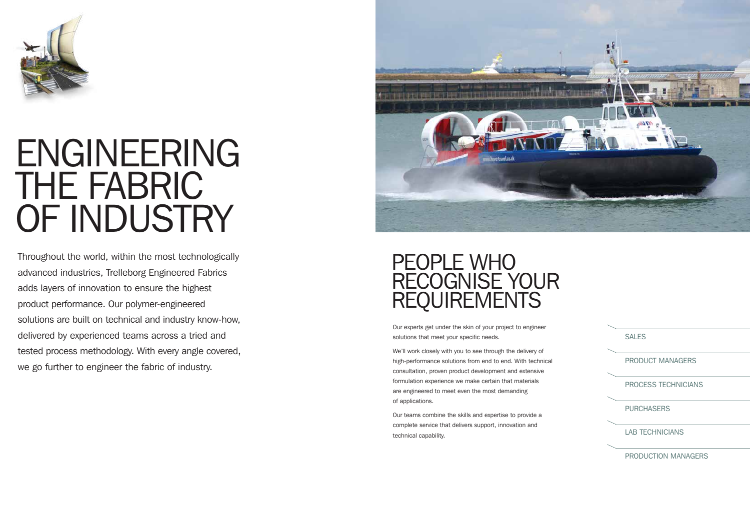

## ENGINEERING THE FABRIC OF INDUSTRY

Throughout the world, within the most technologically advanced industries, Trelleborg Engineered Fabrics adds layers of innovation to ensure the highest product performance. Our polymer-engineered solutions are built on technical and industry know-how, delivered by experienced teams across a tried and tested process methodology. With every angle covered, we go further to engineer the fabric of industry.



## PEOPLE WHO RECOGNISE YOUR **REQUIREMENTS**

Our experts get under the skin of your project to engineer solutions that meet your specific needs.

We'll work closely with you to see through the delivery of high-performance solutions from end to end. With technical consultation, proven product development and extensive formulation experience we make certain that materials are engineered to meet even the most demanding of applications.

Our teams combine the skills and expertise to provide a complete service that delivers support, innovation and technical capability.

**SALES** 

PRODUCT MANAGER

PROCESS TECHNICIANS

**PURCHASER** 

LAB TECHNICIANS

PRODUCTION MANAGERS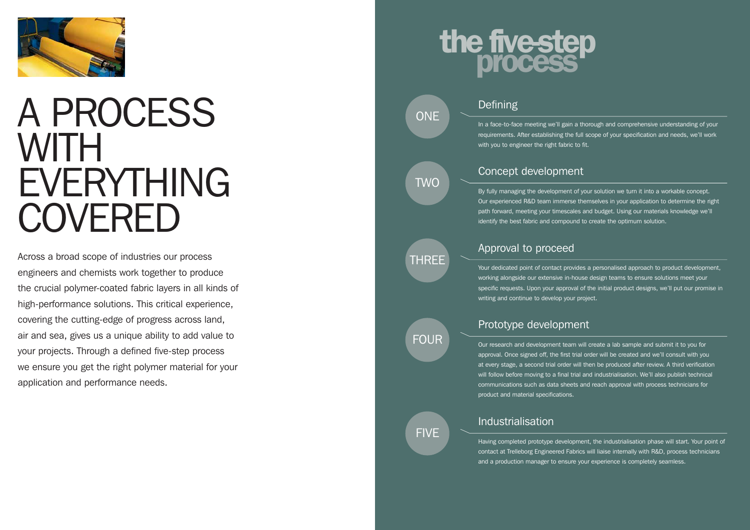

## A PROCESS w **ith** EVERYTHING COVERED

In a face-to-face meeting we'll gain a thorough and comprehensive understanding of your requirements. After establishing the full scope of your specification and needs, we'll work Defining<br>
ma face-to-face meeting we'll gain a thom<br>
requirements. After establishing the full somewith you to engineer the right fabric to fit.

Across a broad scope of industries our process engineers and chemists work together to produce the crucial polymer-coated fabric layers in all kinds of high-performance solutions. This critical experience, covering the cutting-edge of progress across land, air and sea, gives us a unique ability to add value to your projects. Through a defined five-step process we ensure you get the right polymer material for your application and performance needs.

# the five-step

## **ONE**

**TWO** 

By fully managing the development of your solution we turn it into a workable concept. Our experienced R&D team immerse themselves in your application to determine the right path forward, meeting your timescales and budget. Using our materials knowledge we'll **Concept development**<br>
By fully managing the development of your solution we turn it into a wo<br>
Our experienced R&D team immerse themselves in your application to<br>
path forward, meeting your timescales and budget. Using ou

Your dedicated point of contact provides a personalised approach to product development, working alongside our extensive in-house design teams to ensure solutions meet your specific requests. Upon your approval of the initial product designs, we'll put our promise in Approval to proceed<br>
Your dedicated point of contact provides a performed working alongside our extensive in-house des<br>
specific requests. Upon your approval of the<br>
writing and continue to develop your project.

Our research and development team will create a lab sample and submit it to you for approval. Once signed off, the first trial order will be created and we'll consult with you at every stage, a second trial order will then be produced after review. A third verification will follow before moving to a final trial and industrialisation. We'll also publish technical communications such as data sheets and reach approval with process technicians for product and material specifications.

TH REE

## Prototype development

FIV E



Having completed prototype development, the industrialisation phase will start. Your point of contact at Trelleborg Engineered Fabrics will liaise internally with R & D, process technicians and a production manager to ensure your experience is completely seamless. Industrialisation

**FOUR**